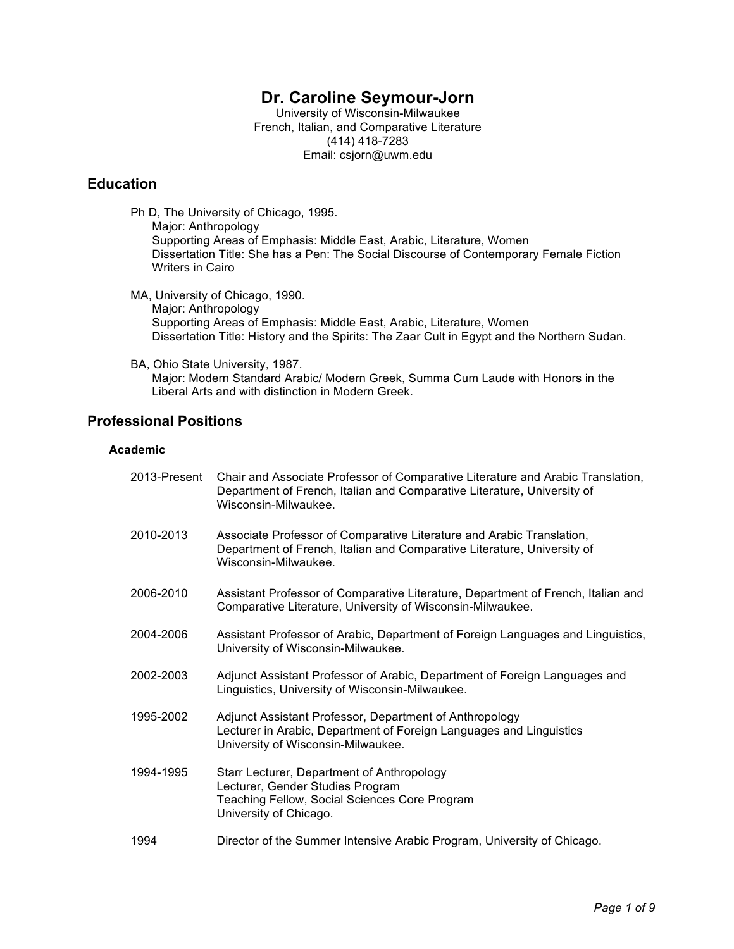# **Dr. Caroline Seymour-Jorn**

University of Wisconsin-Milwaukee French, Italian, and Comparative Literature (414) 418-7283 Email: csjorn@uwm.edu

# **Education**

- Ph D, The University of Chicago, 1995. Major: Anthropology Supporting Areas of Emphasis: Middle East, Arabic, Literature, Women Dissertation Title: She has a Pen: The Social Discourse of Contemporary Female Fiction Writers in Cairo
- MA, University of Chicago, 1990. Major: Anthropology Supporting Areas of Emphasis: Middle East, Arabic, Literature, Women Dissertation Title: History and the Spirits: The Zaar Cult in Egypt and the Northern Sudan.
- BA, Ohio State University, 1987. Major: Modern Standard Arabic/ Modern Greek, Summa Cum Laude with Honors in the Liberal Arts and with distinction in Modern Greek.

# **Professional Positions**

### **Academic**

| 2013-Present | Chair and Associate Professor of Comparative Literature and Arabic Translation,<br>Department of French, Italian and Comparative Literature, University of<br>Wisconsin-Milwaukee. |
|--------------|------------------------------------------------------------------------------------------------------------------------------------------------------------------------------------|
| 2010-2013    | Associate Professor of Comparative Literature and Arabic Translation,<br>Department of French, Italian and Comparative Literature, University of<br>Wisconsin-Milwaukee.           |
| 2006-2010    | Assistant Professor of Comparative Literature, Department of French, Italian and<br>Comparative Literature, University of Wisconsin-Milwaukee.                                     |
| 2004-2006    | Assistant Professor of Arabic, Department of Foreign Languages and Linguistics,<br>University of Wisconsin-Milwaukee.                                                              |
| 2002-2003    | Adjunct Assistant Professor of Arabic, Department of Foreign Languages and<br>Linguistics, University of Wisconsin-Milwaukee.                                                      |
| 1995-2002    | Adjunct Assistant Professor, Department of Anthropology<br>Lecturer in Arabic, Department of Foreign Languages and Linguistics<br>University of Wisconsin-Milwaukee.               |
| 1994-1995    | Starr Lecturer, Department of Anthropology<br>Lecturer, Gender Studies Program<br>Teaching Fellow, Social Sciences Core Program<br>University of Chicago.                          |
| 1994         | Director of the Summer Intensive Arabic Program, University of Chicago.                                                                                                            |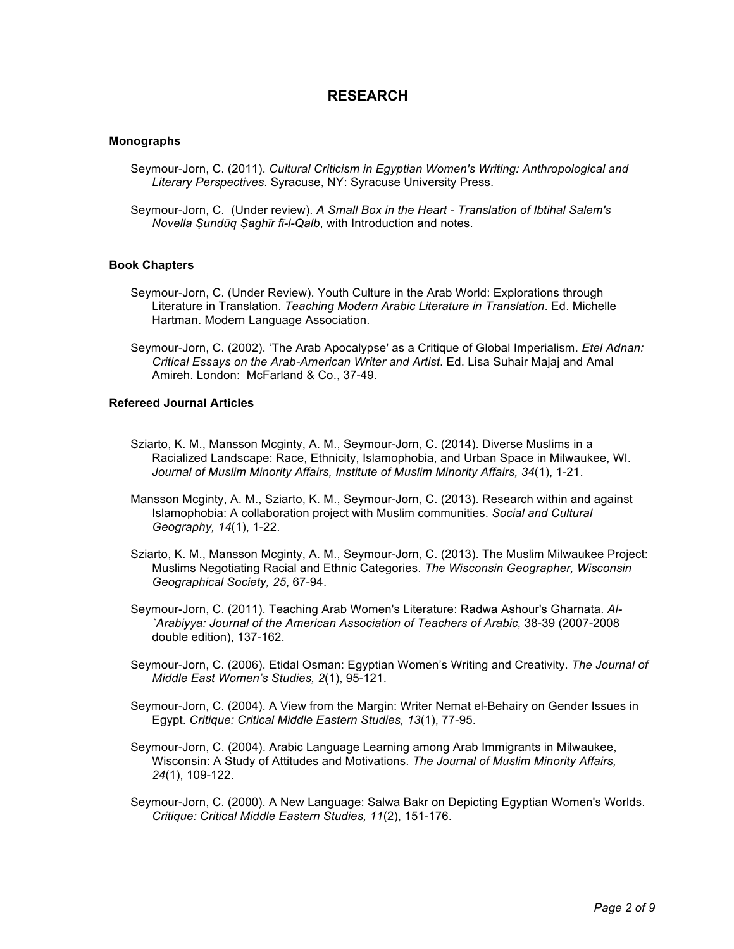## **RESEARCH**

### **Monographs**

- Seymour-Jorn, C. (2011). *Cultural Criticism in Egyptian Women's Writing: Anthropological and Literary Perspectives*. Syracuse, NY: Syracuse University Press.
- Seymour-Jorn, C. (Under review). *A Small Box in the Heart - Translation of Ibtihal Salem's Novella Ṣundūq Ṣaghīr fī-l-Qalb*, with Introduction and notes.

### **Book Chapters**

- Seymour-Jorn, C. (Under Review). Youth Culture in the Arab World: Explorations through Literature in Translation. *Teaching Modern Arabic Literature in Translation*. Ed. Michelle Hartman. Modern Language Association.
- Seymour-Jorn, C. (2002). 'The Arab Apocalypse' as a Critique of Global Imperialism. *Etel Adnan: Critical Essays on the Arab-American Writer and Artist*. Ed. Lisa Suhair Majaj and Amal Amireh. London: McFarland & Co., 37-49.

### **Refereed Journal Articles**

- Sziarto, K. M., Mansson Mcginty, A. M., Seymour-Jorn, C. (2014). Diverse Muslims in a Racialized Landscape: Race, Ethnicity, Islamophobia, and Urban Space in Milwaukee, WI. *Journal of Muslim Minority Affairs, Institute of Muslim Minority Affairs, 34*(1), 1-21.
- Mansson Mcginty, A. M., Sziarto, K. M., Seymour-Jorn, C. (2013). Research within and against Islamophobia: A collaboration project with Muslim communities. *Social and Cultural Geography, 14*(1), 1-22.
- Sziarto, K. M., Mansson Mcginty, A. M., Seymour-Jorn, C. (2013). The Muslim Milwaukee Project: Muslims Negotiating Racial and Ethnic Categories. *The Wisconsin Geographer, Wisconsin Geographical Society, 25*, 67-94.
- Seymour-Jorn, C. (2011). Teaching Arab Women's Literature: Radwa Ashour's Gharnata. *Al- `Arabiyya: Journal of the American Association of Teachers of Arabic,* 38-39 (2007-2008 double edition), 137-162.
- Seymour-Jorn, C. (2006). Etidal Osman: Egyptian Women's Writing and Creativity. *The Journal of Middle East Women's Studies, 2*(1), 95-121.
- Seymour-Jorn, C. (2004). A View from the Margin: Writer Nemat el-Behairy on Gender Issues in Egypt. *Critique: Critical Middle Eastern Studies, 13*(1), 77-95.
- Seymour-Jorn, C. (2004). Arabic Language Learning among Arab Immigrants in Milwaukee, Wisconsin: A Study of Attitudes and Motivations. *The Journal of Muslim Minority Affairs, 24*(1), 109-122.
- Seymour-Jorn, C. (2000). A New Language: Salwa Bakr on Depicting Egyptian Women's Worlds. *Critique: Critical Middle Eastern Studies, 11*(2), 151-176.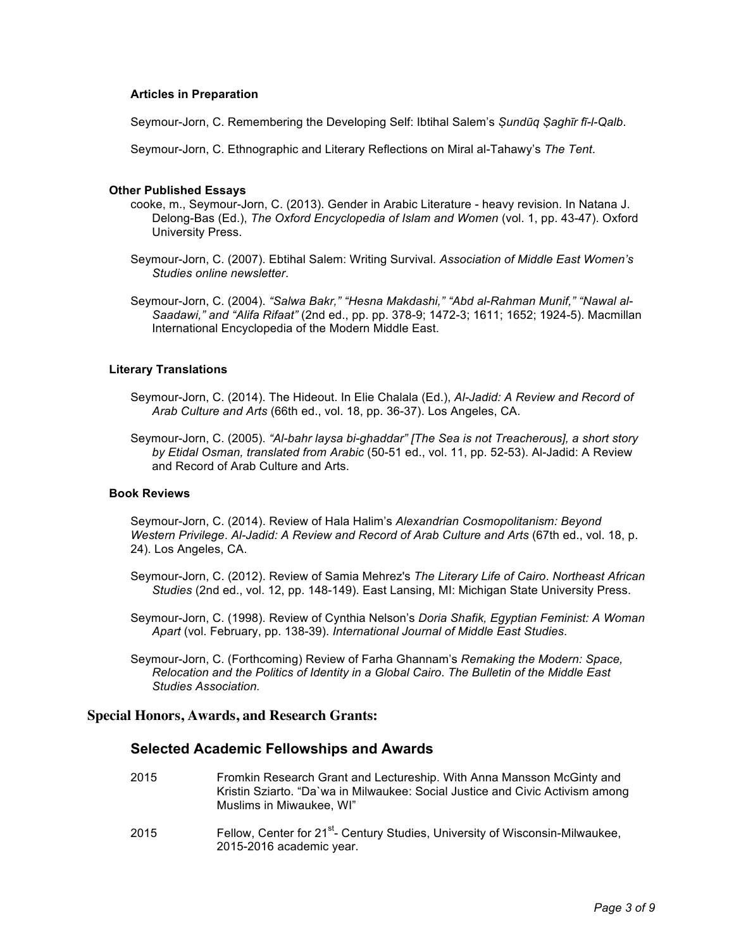### **Articles in Preparation**

Seymour-Jorn, C. Remembering the Developing Self: Ibtihal Salem's *Ṣundūq Ṣaghīr fī-l-Qalb*.

Seymour-Jorn, C. Ethnographic and Literary Reflections on Miral al-Tahawy's *The Tent*.

### **Other Published Essays**

- cooke, m., Seymour-Jorn, C. (2013). Gender in Arabic Literature heavy revision. In Natana J. Delong-Bas (Ed.), *The Oxford Encyclopedia of Islam and Women* (vol. 1, pp. 43-47). Oxford University Press.
- Seymour-Jorn, C. (2007). Ebtihal Salem: Writing Survival. *Association of Middle East Women's Studies online newsletter*.
- Seymour-Jorn, C. (2004). *"Salwa Bakr," "Hesna Makdashi," "Abd al-Rahman Munif," "Nawal al-Saadawi," and "Alifa Rifaat"* (2nd ed., pp. pp. 378-9; 1472-3; 1611; 1652; 1924-5). Macmillan International Encyclopedia of the Modern Middle East.

### **Literary Translations**

- Seymour-Jorn, C. (2014). The Hideout. In Elie Chalala (Ed.), *Al-Jadid: A Review and Record of Arab Culture and Arts* (66th ed., vol. 18, pp. 36-37). Los Angeles, CA.
- Seymour-Jorn, C. (2005). *"Al-bahr laysa bi-ghaddar" [The Sea is not Treacherous], a short story by Etidal Osman, translated from Arabic* (50-51 ed., vol. 11, pp. 52-53). Al-Jadid: A Review and Record of Arab Culture and Arts.

### **Book Reviews**

Seymour-Jorn, C. (2014). Review of Hala Halim's *Alexandrian Cosmopolitanism: Beyond Western Privilege*. *Al-Jadid: A Review and Record of Arab Culture and Arts* (67th ed., vol. 18, p. 24). Los Angeles, CA.

- Seymour-Jorn, C. (2012). Review of Samia Mehrez's *The Literary Life of Cairo*. *Northeast African Studies* (2nd ed., vol. 12, pp. 148-149). East Lansing, MI: Michigan State University Press.
- Seymour-Jorn, C. (1998). Review of Cynthia Nelson's *Doria Shafik, Egyptian Feminist: A Woman Apart* (vol. February, pp. 138-39). *International Journal of Middle East Studies*.
- Seymour-Jorn, C. (Forthcoming) Review of Farha Ghannam's *Remaking the Modern: Space, Relocation and the Politics of Identity in a Global Cairo*. *The Bulletin of the Middle East Studies Association.*

### **Special Honors, Awards, and Research Grants:**

### **Selected Academic Fellowships and Awards**

- 2015 Fromkin Research Grant and Lectureship. With Anna Mansson McGinty and Kristin Sziarto. "Da`wa in Milwaukee: Social Justice and Civic Activism among Muslims in Miwaukee, WI"
- 2015 Fellow, Center for 21<sup>st</sup>- Century Studies, University of Wisconsin-Milwaukee, 2015-2016 academic year.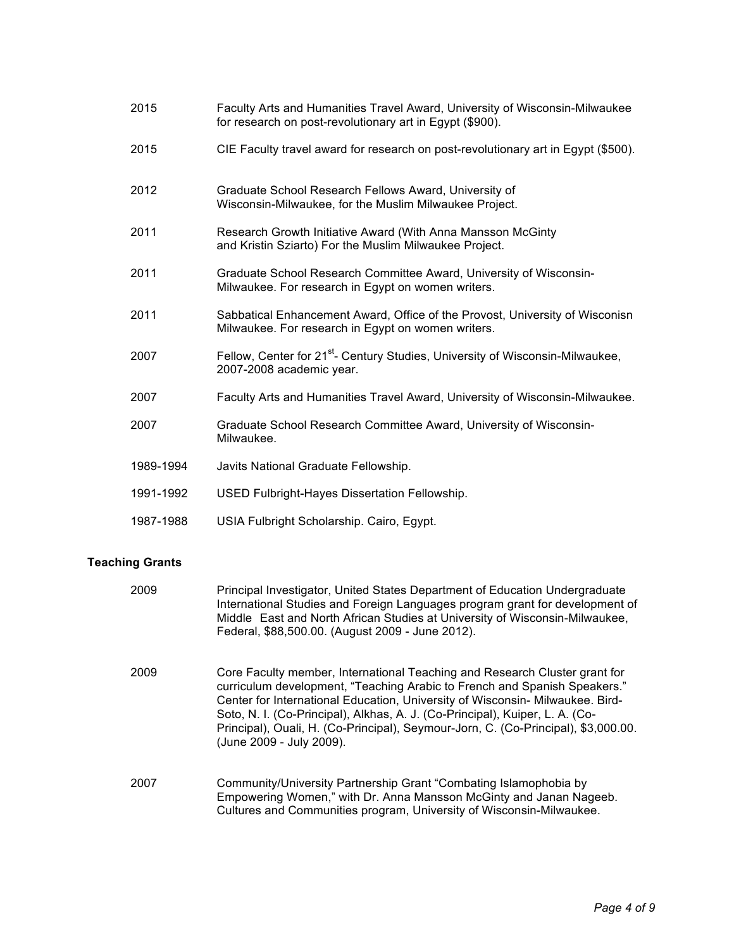| 2015      | Faculty Arts and Humanities Travel Award, University of Wisconsin-Milwaukee<br>for research on post-revolutionary art in Egypt (\$900). |
|-----------|-----------------------------------------------------------------------------------------------------------------------------------------|
| 2015      | CIE Faculty travel award for research on post-revolutionary art in Egypt (\$500).                                                       |
| 2012      | Graduate School Research Fellows Award, University of<br>Wisconsin-Milwaukee, for the Muslim Milwaukee Project.                         |
| 2011      | Research Growth Initiative Award (With Anna Mansson McGinty<br>and Kristin Sziarto) For the Muslim Milwaukee Project.                   |
| 2011      | Graduate School Research Committee Award, University of Wisconsin-<br>Milwaukee. For research in Egypt on women writers.                |
| 2011      | Sabbatical Enhancement Award, Office of the Provost, University of Wisconisn<br>Milwaukee. For research in Egypt on women writers.      |
| 2007      | Fellow, Center for 21 <sup>st</sup> - Century Studies, University of Wisconsin-Milwaukee,<br>2007-2008 academic year.                   |
| 2007      | Faculty Arts and Humanities Travel Award, University of Wisconsin-Milwaukee.                                                            |
| 2007      | Graduate School Research Committee Award, University of Wisconsin-<br>Milwaukee.                                                        |
| 1989-1994 | Javits National Graduate Fellowship.                                                                                                    |
| 1991-1992 | USED Fulbright-Hayes Dissertation Fellowship.                                                                                           |
| 1987-1988 | USIA Fulbright Scholarship. Cairo, Egypt.                                                                                               |

# **Teaching Grants**

| 2009 | Principal Investigator, United States Department of Education Undergraduate<br>International Studies and Foreign Languages program grant for development of<br>Middle East and North African Studies at University of Wisconsin-Milwaukee,<br>Federal, \$88,500.00. (August 2009 - June 2012).                                                                                                                                             |
|------|--------------------------------------------------------------------------------------------------------------------------------------------------------------------------------------------------------------------------------------------------------------------------------------------------------------------------------------------------------------------------------------------------------------------------------------------|
| 2009 | Core Faculty member, International Teaching and Research Cluster grant for<br>curriculum development, "Teaching Arabic to French and Spanish Speakers."<br>Center for International Education, University of Wisconsin- Milwaukee. Bird-<br>Soto, N. I. (Co-Principal), Alkhas, A. J. (Co-Principal), Kuiper, L. A. (Co-<br>Principal), Ouali, H. (Co-Principal), Seymour-Jorn, C. (Co-Principal), \$3,000.00.<br>(June 2009 - July 2009). |
| 2007 | Community/University Partnership Grant "Combating Islamophobia by<br>Empowering Women," with Dr. Anna Mansson McGinty and Janan Nageeb.<br>Cultures and Communities program, University of Wisconsin-Milwaukee.                                                                                                                                                                                                                            |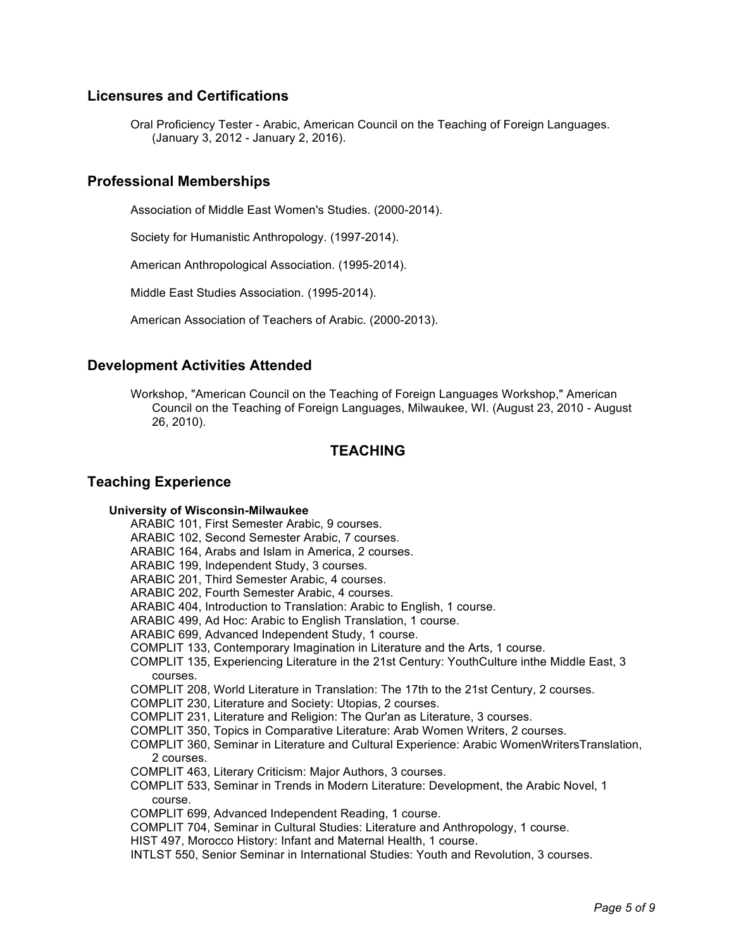# **Licensures and Certifications**

Oral Proficiency Tester - Arabic, American Council on the Teaching of Foreign Languages. (January 3, 2012 - January 2, 2016).

## **Professional Memberships**

Association of Middle East Women's Studies. (2000-2014).

Society for Humanistic Anthropology. (1997-2014).

American Anthropological Association. (1995-2014).

Middle East Studies Association. (1995-2014).

American Association of Teachers of Arabic. (2000-2013).

## **Development Activities Attended**

Workshop, "American Council on the Teaching of Foreign Languages Workshop," American Council on the Teaching of Foreign Languages, Milwaukee, WI. (August 23, 2010 - August 26, 2010).

## **TEACHING**

## **Teaching Experience**

### **University of Wisconsin-Milwaukee**

ARABIC 101, First Semester Arabic, 9 courses.

ARABIC 102, Second Semester Arabic, 7 courses.

ARABIC 164, Arabs and Islam in America, 2 courses.

ARABIC 199, Independent Study, 3 courses.

ARABIC 201, Third Semester Arabic, 4 courses.

ARABIC 202, Fourth Semester Arabic, 4 courses.

ARABIC 404, Introduction to Translation: Arabic to English, 1 course.

ARABIC 499, Ad Hoc: Arabic to English Translation, 1 course.

ARABIC 699, Advanced Independent Study, 1 course.

COMPLIT 133, Contemporary Imagination in Literature and the Arts, 1 course.

COMPLIT 135, Experiencing Literature in the 21st Century: YouthCulture inthe Middle East, 3 courses.

COMPLIT 208, World Literature in Translation: The 17th to the 21st Century, 2 courses.

COMPLIT 230, Literature and Society: Utopias, 2 courses.

COMPLIT 231, Literature and Religion: The Qur'an as Literature, 3 courses.

COMPLIT 350, Topics in Comparative Literature: Arab Women Writers, 2 courses.

- COMPLIT 360, Seminar in Literature and Cultural Experience: Arabic WomenWritersTranslation, 2 courses.
- COMPLIT 463, Literary Criticism: Major Authors, 3 courses.

COMPLIT 533, Seminar in Trends in Modern Literature: Development, the Arabic Novel, 1 course.

COMPLIT 699, Advanced Independent Reading, 1 course.

COMPLIT 704, Seminar in Cultural Studies: Literature and Anthropology, 1 course.

HIST 497, Morocco History: Infant and Maternal Health, 1 course.

INTLST 550, Senior Seminar in International Studies: Youth and Revolution, 3 courses.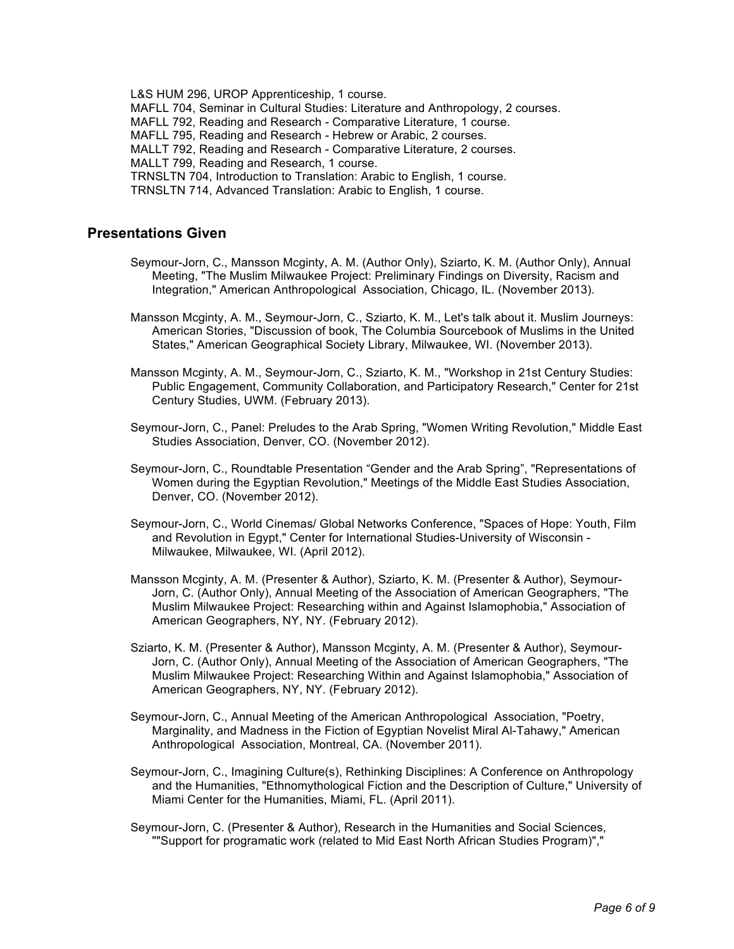L&S HUM 296, UROP Apprenticeship, 1 course. MAFLL 704, Seminar in Cultural Studies: Literature and Anthropology, 2 courses. MAFLL 792, Reading and Research - Comparative Literature, 1 course. MAFLL 795, Reading and Research - Hebrew or Arabic, 2 courses. MALLT 792, Reading and Research - Comparative Literature, 2 courses. MALLT 799, Reading and Research, 1 course. TRNSLTN 704, Introduction to Translation: Arabic to English, 1 course. TRNSLTN 714, Advanced Translation: Arabic to English, 1 course.

## **Presentations Given**

- Seymour-Jorn, C., Mansson Mcginty, A. M. (Author Only), Sziarto, K. M. (Author Only), Annual Meeting, "The Muslim Milwaukee Project: Preliminary Findings on Diversity, Racism and Integration," American Anthropological Association, Chicago, IL. (November 2013).
- Mansson Mcginty, A. M., Seymour-Jorn, C., Sziarto, K. M., Let's talk about it. Muslim Journeys: American Stories, "Discussion of book, The Columbia Sourcebook of Muslims in the United States," American Geographical Society Library, Milwaukee, WI. (November 2013).
- Mansson Mcginty, A. M., Seymour-Jorn, C., Sziarto, K. M., "Workshop in 21st Century Studies: Public Engagement, Community Collaboration, and Participatory Research," Center for 21st Century Studies, UWM. (February 2013).
- Seymour-Jorn, C., Panel: Preludes to the Arab Spring, "Women Writing Revolution," Middle East Studies Association, Denver, CO. (November 2012).
- Seymour-Jorn, C., Roundtable Presentation "Gender and the Arab Spring", "Representations of Women during the Egyptian Revolution," Meetings of the Middle East Studies Association, Denver, CO. (November 2012).
- Seymour-Jorn, C., World Cinemas/ Global Networks Conference, "Spaces of Hope: Youth, Film and Revolution in Egypt," Center for International Studies-University of Wisconsin - Milwaukee, Milwaukee, WI. (April 2012).
- Mansson Mcginty, A. M. (Presenter & Author), Sziarto, K. M. (Presenter & Author), Seymour-Jorn, C. (Author Only), Annual Meeting of the Association of American Geographers, "The Muslim Milwaukee Project: Researching within and Against Islamophobia," Association of American Geographers, NY, NY. (February 2012).
- Sziarto, K. M. (Presenter & Author), Mansson Mcginty, A. M. (Presenter & Author), Seymour-Jorn, C. (Author Only), Annual Meeting of the Association of American Geographers, "The Muslim Milwaukee Project: Researching Within and Against Islamophobia," Association of American Geographers, NY, NY. (February 2012).
- Seymour-Jorn, C., Annual Meeting of the American Anthropological Association, "Poetry, Marginality, and Madness in the Fiction of Egyptian Novelist Miral Al-Tahawy," American Anthropological Association, Montreal, CA. (November 2011).
- Seymour-Jorn, C., Imagining Culture(s), Rethinking Disciplines: A Conference on Anthropology and the Humanities, "Ethnomythological Fiction and the Description of Culture," University of Miami Center for the Humanities, Miami, FL. (April 2011).
- Seymour-Jorn, C. (Presenter & Author), Research in the Humanities and Social Sciences, ""Support for programatic work (related to Mid East North African Studies Program)","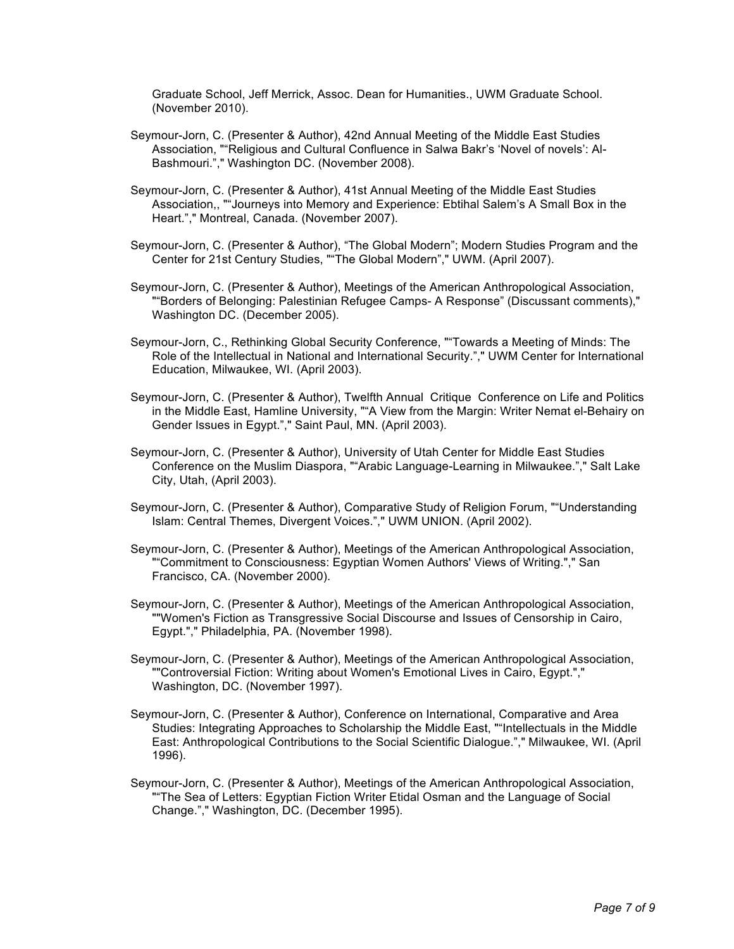Graduate School, Jeff Merrick, Assoc. Dean for Humanities., UWM Graduate School. (November 2010).

- Seymour-Jorn, C. (Presenter & Author), 42nd Annual Meeting of the Middle East Studies Association, ""Religious and Cultural Confluence in Salwa Bakr's 'Novel of novels': Al-Bashmouri."," Washington DC. (November 2008).
- Seymour-Jorn, C. (Presenter & Author), 41st Annual Meeting of the Middle East Studies Association,, ""Journeys into Memory and Experience: Ebtihal Salem's A Small Box in the Heart."," Montreal, Canada. (November 2007).
- Seymour-Jorn, C. (Presenter & Author), "The Global Modern"; Modern Studies Program and the Center for 21st Century Studies, ""The Global Modern"," UWM. (April 2007).
- Seymour-Jorn, C. (Presenter & Author), Meetings of the American Anthropological Association, ""Borders of Belonging: Palestinian Refugee Camps- A Response" (Discussant comments)," Washington DC. (December 2005).
- Seymour-Jorn, C., Rethinking Global Security Conference, ""Towards a Meeting of Minds: The Role of the Intellectual in National and International Security."," UWM Center for International Education, Milwaukee, WI. (April 2003).
- Seymour-Jorn, C. (Presenter & Author), Twelfth Annual Critique Conference on Life and Politics in the Middle East, Hamline University, ""A View from the Margin: Writer Nemat el-Behairy on Gender Issues in Egypt."," Saint Paul, MN. (April 2003).
- Seymour-Jorn, C. (Presenter & Author), University of Utah Center for Middle East Studies Conference on the Muslim Diaspora, ""Arabic Language-Learning in Milwaukee."," Salt Lake City, Utah, (April 2003).
- Seymour-Jorn, C. (Presenter & Author), Comparative Study of Religion Forum, ""Understanding Islam: Central Themes, Divergent Voices."," UWM UNION. (April 2002).
- Seymour-Jorn, C. (Presenter & Author), Meetings of the American Anthropological Association, ""Commitment to Consciousness: Egyptian Women Authors' Views of Writing."," San Francisco, CA. (November 2000).
- Seymour-Jorn, C. (Presenter & Author), Meetings of the American Anthropological Association, ""Women's Fiction as Transgressive Social Discourse and Issues of Censorship in Cairo, Egypt."," Philadelphia, PA. (November 1998).
- Seymour-Jorn, C. (Presenter & Author), Meetings of the American Anthropological Association, ""Controversial Fiction: Writing about Women's Emotional Lives in Cairo, Egypt."," Washington, DC. (November 1997).
- Seymour-Jorn, C. (Presenter & Author), Conference on International, Comparative and Area Studies: Integrating Approaches to Scholarship the Middle East, ""Intellectuals in the Middle East: Anthropological Contributions to the Social Scientific Dialogue."," Milwaukee, WI. (April 1996).
- Seymour-Jorn, C. (Presenter & Author), Meetings of the American Anthropological Association, ""The Sea of Letters: Egyptian Fiction Writer Etidal Osman and the Language of Social Change."," Washington, DC. (December 1995).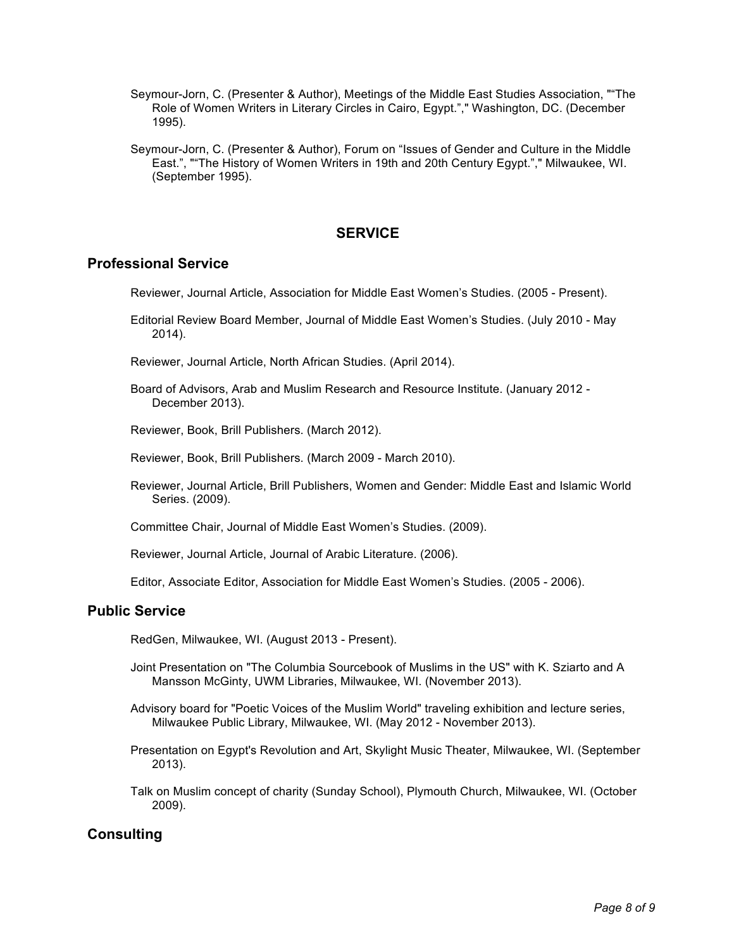- Seymour-Jorn, C. (Presenter & Author), Meetings of the Middle East Studies Association, ""The Role of Women Writers in Literary Circles in Cairo, Egypt."," Washington, DC. (December 1995).
- Seymour-Jorn, C. (Presenter & Author), Forum on "Issues of Gender and Culture in the Middle East.", ""The History of Women Writers in 19th and 20th Century Egypt."," Milwaukee, WI. (September 1995).

## **SERVICE**

## **Professional Service**

Reviewer, Journal Article, Association for Middle East Women's Studies. (2005 - Present).

Editorial Review Board Member, Journal of Middle East Women's Studies. (July 2010 - May 2014).

Reviewer, Journal Article, North African Studies. (April 2014).

Board of Advisors, Arab and Muslim Research and Resource Institute. (January 2012 - December 2013).

Reviewer, Book, Brill Publishers. (March 2012).

- Reviewer, Book, Brill Publishers. (March 2009 March 2010).
- Reviewer, Journal Article, Brill Publishers, Women and Gender: Middle East and Islamic World Series. (2009).

Committee Chair, Journal of Middle East Women's Studies. (2009).

Reviewer, Journal Article, Journal of Arabic Literature. (2006).

Editor, Associate Editor, Association for Middle East Women's Studies. (2005 - 2006).

## **Public Service**

RedGen, Milwaukee, WI. (August 2013 - Present).

- Joint Presentation on "The Columbia Sourcebook of Muslims in the US" with K. Sziarto and A Mansson McGinty, UWM Libraries, Milwaukee, WI. (November 2013).
- Advisory board for "Poetic Voices of the Muslim World" traveling exhibition and lecture series, Milwaukee Public Library, Milwaukee, WI. (May 2012 - November 2013).
- Presentation on Egypt's Revolution and Art, Skylight Music Theater, Milwaukee, WI. (September 2013).
- Talk on Muslim concept of charity (Sunday School), Plymouth Church, Milwaukee, WI. (October 2009).

# **Consulting**